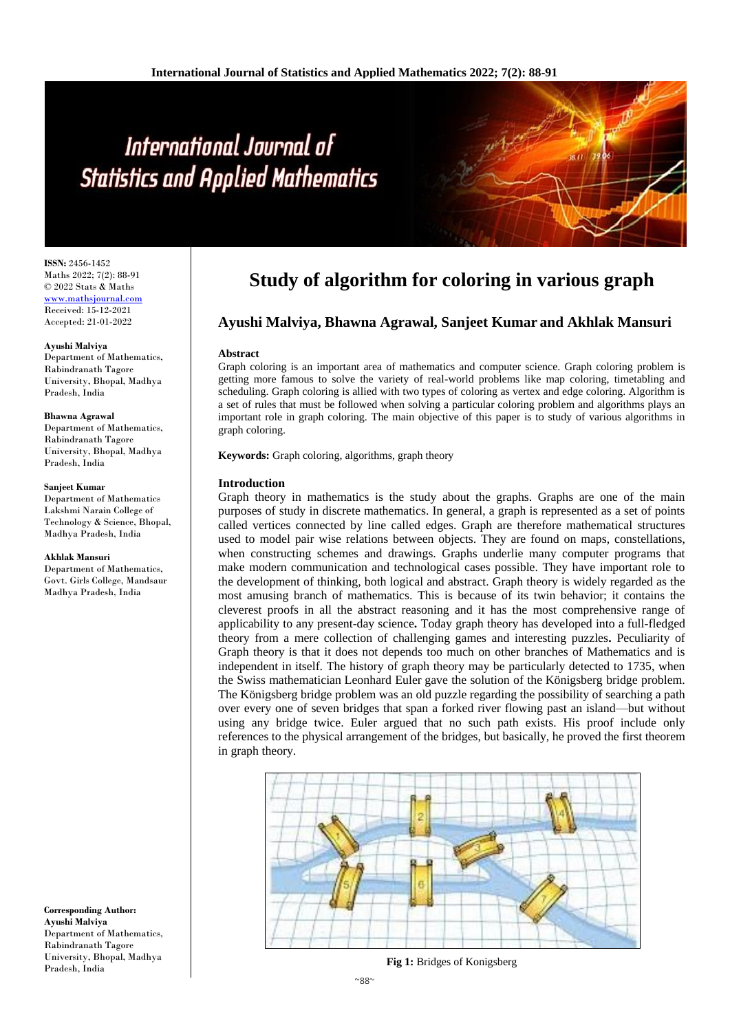# International Journal of **Statistics and Applied Mathematics**

**ISSN:** 2456-1452 Maths 2022; 7(2): 88-91 © 2022 Stats & Maths <www.mathsjournal.com> Received: 15-12-2021 Accepted: 21-01-2022

#### **Ayushi Malviya**

Department of Mathematics, Rabindranath Tagore University, Bhopal, Madhya Pradesh, India

#### **Bhawna Agrawal**

Department of Mathematics, Rabindranath Tagore University, Bhopal, Madhya Pradesh, India

#### **Sanjeet Kumar**

Department of Mathematics Lakshmi Narain College of Technology & Science, Bhopal, Madhya Pradesh, India

#### **Akhlak Mansuri**

Department of Mathematics, Govt. Girls College, Mandsaur Madhya Pradesh, India

**Corresponding Author: Ayushi Malviya** Department of Mathematics, Rabindranath Tagore University, Bhopal, Madhya Pradesh, India

# **Study of algorithm for coloring in various graph**

# **Ayushi Malviya, Bhawna Agrawal, Sanjeet Kumar and Akhlak Mansuri**

#### **Abstract**

Graph coloring is an important area of mathematics and computer science. Graph coloring problem is getting more famous to solve the variety of real-world problems like map coloring, timetabling and scheduling. Graph coloring is allied with two types of coloring as vertex and edge coloring. Algorithm is a set of rules that must be followed when solving a particular coloring problem and algorithms plays an important role in graph coloring. The main objective of this paper is to study of various algorithms in graph coloring.

**Keywords:** Graph coloring, algorithms, graph theory

#### **Introduction**

Graph theory in mathematics is the study about the graphs. Graphs are one of the main purposes of study in discrete mathematics. In general, a graph is represented as a set of points called vertices connected by line called edges. Graph are therefore mathematical structures used to model pair wise relations between objects. They are found on maps, constellations, when constructing schemes and drawings. Graphs underlie many computer programs that make modern communication and technological cases possible. They have important role to the development of thinking, both logical and abstract. Graph theory is widely regarded as the most amusing branch of mathematics. This is because of its twin behavior; it contains the cleverest proofs in all the abstract reasoning and it has the most comprehensive range of applicability to any present-day science**.** Today graph theory has developed into a full-fledged theory from a mere collection of challenging games and interesting puzzles**.** Peculiarity of Graph theory is that it does not depends too much on other branches of Mathematics and is independent in itself. The history of graph theory may be particularly detected to 1735, when the Swiss mathematician Leonhard Euler gave the solution of the Königsberg bridge problem. The Königsberg bridge problem was an old puzzle regarding the possibility of searching a path over every one of seven bridges that span a forked river flowing past an island—but without using any bridge twice. Euler argued that no such path exists. His proof include only references to the physical arrangement of the bridges, but basically, he proved the first theorem in graph theory.



**Fig 1:** Bridges of Konigsberg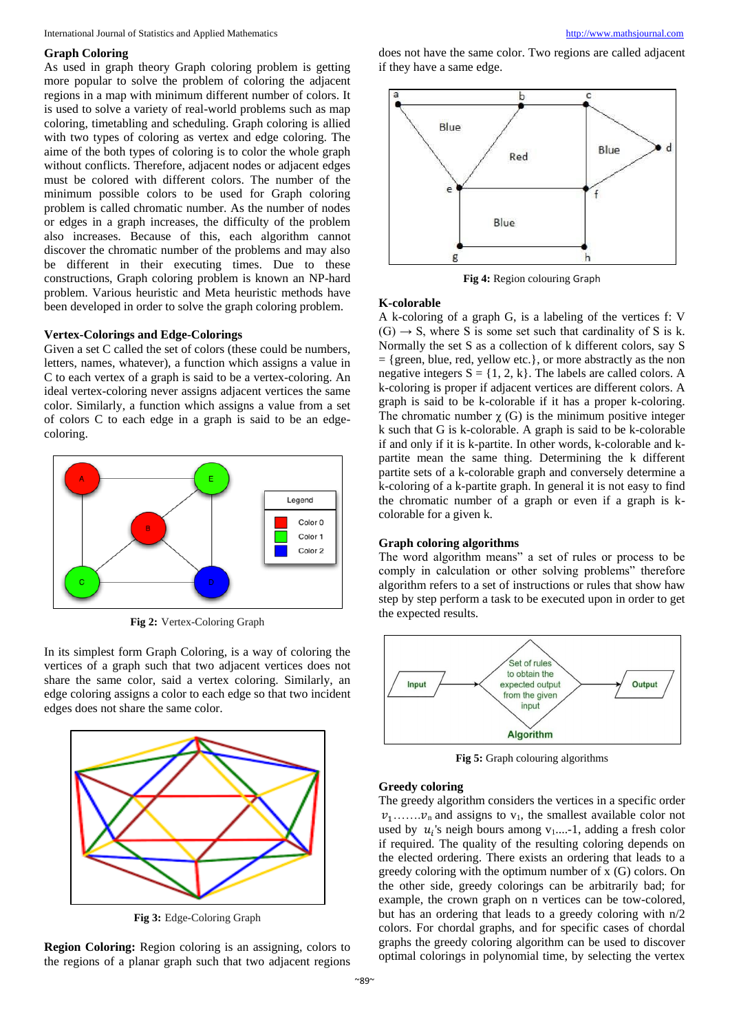#### **Graph Coloring**

As used in graph theory Graph coloring problem is getting more popular to solve the problem of coloring the adjacent regions in a map with minimum different number of colors. It is used to solve a variety of real-world problems such as map coloring, timetabling and scheduling. Graph coloring is allied with two types of coloring as vertex and edge coloring. The aime of the both types of coloring is to color the whole graph without conflicts. Therefore, adjacent nodes or adjacent edges must be colored with different colors. The number of the minimum possible colors to be used for Graph coloring problem is called chromatic number. As the number of nodes or edges in a graph increases, the difficulty of the problem also increases. Because of this, each algorithm cannot discover the chromatic number of the problems and may also be different in their executing times. Due to these constructions, Graph coloring problem is known an NP-hard problem. Various heuristic and Meta heuristic methods have been developed in order to solve the graph coloring problem.

#### **Vertex-Colorings and Edge-Colorings**

Given a set C called the set of colors (these could be numbers, letters, names, whatever), a function which assigns a value in C to each vertex of a graph is said to be a vertex-coloring. An ideal vertex-coloring never assigns adjacent vertices the same color. Similarly, a function which assigns a value from a set of colors C to each edge in a graph is said to be an edgecoloring.



**Fig 2:** Vertex-Coloring Graph

In its simplest form Graph Coloring, is a way of coloring the vertices of a graph such that two adjacent vertices does not share the same color, said a vertex coloring. Similarly, an edge coloring assigns a color to each edge so that two incident edges does not share the same color.



**Fig 3:** Edge-Coloring Graph

**Region Coloring:** Region coloring is an assigning, colors to the regions of a planar graph such that two adjacent regions does not have the same color. Two regions are called adjacent if they have a same edge.



**Fig 4:** Region colouring Graph

#### **K-colorable**

A k-coloring of a graph G, is a labeling of the vertices f: V  $(G) \rightarrow S$ , where S is some set such that cardinality of S is k. Normally the set S as a collection of k different colors, say S = {green, blue, red, yellow etc.}, or more abstractly as the non negative integers  $S = \{1, 2, k\}$ . The labels are called colors. A k-coloring is proper if adjacent vertices are different colors. A graph is said to be k-colorable if it has a proper k-coloring. The chromatic number  $\chi$  (G) is the minimum positive integer k such that G is k-colorable. A graph is said to be k-colorable if and only if it is k-partite. In other words, k-colorable and kpartite mean the same thing. Determining the k different partite sets of a k-colorable graph and conversely determine a k-coloring of a k-partite graph. In general it is not easy to find the chromatic number of a graph or even if a graph is kcolorable for a given k.

#### **Graph coloring algorithms**

The word algorithm means" a set of rules or process to be comply in calculation or other solving problems" therefore algorithm refers to a set of instructions or rules that show haw step by step perform a task to be executed upon in order to get the expected results.



**Fig 5:** Graph colouring algorithms

#### **Greedy coloring**

The greedy algorithm considers the vertices in a specific order  $v_1$ ....... $v_n$  and assigns to  $v_1$ , the smallest available color not used by  $u_i$ 's neigh bours among  $v_1$ ....-1, adding a fresh color if required. The quality of the resulting coloring depends on the elected ordering. There exists an ordering that leads to a greedy coloring with the optimum number of x (G) colors. On the other side, greedy colorings can be arbitrarily bad; for example, the crown graph on n vertices can be tow-colored, but has an ordering that leads to a greedy coloring with n/2 colors. For chordal graphs, and for specific cases of chordal graphs the greedy coloring algorithm can be used to discover optimal colorings in polynomial time, by selecting the vertex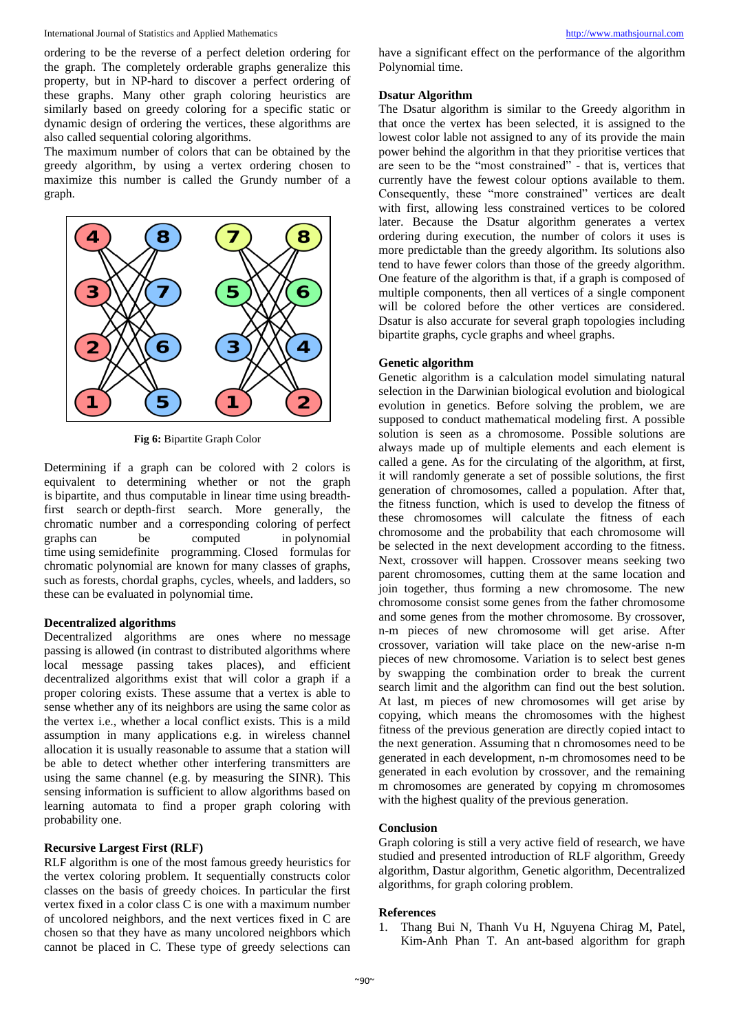International Journal of Statistics and Applied Mathematics [http://www.mathsjournal.com](http://www.mathsjournal.com/)

ordering to be the reverse of a perfect deletion ordering for the graph. The completely orderable graphs generalize this property, but in NP-hard to discover a perfect ordering of these graphs. Many other graph coloring heuristics are similarly based on greedy coloring for a specific static or dynamic design of ordering the vertices, these algorithms are also called sequential coloring algorithms.

The maximum number of colors that can be obtained by the greedy algorithm, by using a vertex ordering chosen to maximize this number is called the Grundy number of a graph.



**Fig 6:** [Bipartite](https://en.wikipedia.org/wiki/Bipartite_graph) Graph Color

Determining if a graph can be colored with 2 colors is equivalent to determining whether or not the graph is bipartite, and thus computable in linear time using breadthfirst search or depth-first search. More generally, the chromatic number and a corresponding coloring of perfect graphs can be computed in polynomial graphs can be computed in polynomial time using semidefinite programming. Closed formulas for chromatic polynomial are known for many classes of graphs, such as forests, chordal graphs, cycles, wheels, and ladders, so these can be evaluated in polynomial time.

# **Decentralized algorithms**

Decentralized algorithms are ones where no message passing is allowed (in contrast to distributed algorithms where local message passing takes places), and efficient decentralized algorithms exist that will color a graph if a proper coloring exists. These assume that a vertex is able to sense whether any of its neighbors are using the same color as the vertex i.e., whether a local conflict exists. This is a mild assumption in many applications e.g. in wireless channel allocation it is usually reasonable to assume that a station will be able to detect whether other interfering transmitters are using the same channel (e.g. by measuring the SINR). This sensing information is sufficient to allow algorithms based on learning automata to find a proper graph coloring with probability one.

# **Recursive Largest First (RLF)**

RLF algorithm is one of the most famous greedy heuristics for the vertex coloring problem. It sequentially constructs color classes on the basis of greedy choices. In particular the first vertex fixed in a color class C is one with a maximum number of uncolored neighbors, and the next vertices fixed in C are chosen so that they have as many uncolored neighbors which cannot be placed in C. These type of greedy selections can

have a significant effect on the performance of the algorithm Polynomial time.

# **Dsatur Algorithm**

The Dsatur algorithm is similar to the Greedy algorithm in that once the vertex has been selected, it is assigned to the lowest color lable not assigned to any of its provide the main power behind the algorithm in that they prioritise vertices that are seen to be the "most constrained" - that is, vertices that currently have the fewest colour options available to them. Consequently, these "more constrained" vertices are dealt with first, allowing less constrained vertices to be colored later. Because the Dsatur algorithm generates a vertex ordering during execution, the number of colors it uses is more predictable than the greedy algorithm. Its solutions also tend to have fewer colors than those of the greedy algorithm. One feature of the algorithm is that, if a graph is composed of multiple components, then all vertices of a single component will be colored before the other vertices are considered. Dsatur is also accurate for several graph topologies including bipartite graphs, cycle graphs and wheel graphs.

# **Genetic algorithm**

Genetic algorithm is a calculation model simulating natural selection in the Darwinian biological evolution and biological evolution in genetics. Before solving the problem, we are supposed to conduct mathematical modeling first. A possible solution is seen as a chromosome. Possible solutions are always made up of multiple elements and each element is called a gene. As for the circulating of the algorithm, at first, it will randomly generate a set of possible solutions, the first generation of chromosomes, called a population. After that, the fitness function, which is used to develop the fitness of these chromosomes will calculate the fitness of each chromosome and the probability that each chromosome will be selected in the next development according to the fitness. Next, crossover will happen. Crossover means seeking two parent chromosomes, cutting them at the same location and join together, thus forming a new chromosome. The new chromosome consist some genes from the father chromosome and some genes from the mother chromosome. By crossover, n-m pieces of new chromosome will get arise. After crossover, variation will take place on the new-arise n-m pieces of new chromosome. Variation is to select best genes by swapping the combination order to break the current search limit and the algorithm can find out the best solution. At last, m pieces of new chromosomes will get arise by copying, which means the chromosomes with the highest fitness of the previous generation are directly copied intact to the next generation. Assuming that n chromosomes need to be generated in each development, n-m chromosomes need to be generated in each evolution by crossover, and the remaining m chromosomes are generated by copying m chromosomes with the highest quality of the previous generation.

# **Conclusion**

Graph coloring is still a very active field of research, we have studied and presented introduction of RLF algorithm, Greedy algorithm, Dastur algorithm, Genetic algorithm, Decentralized algorithms, for graph coloring problem.

#### **References**

1. Thang Bui N, Thanh Vu H, Nguyena Chirag M, Patel, Kim-Anh Phan T. An ant-based algorithm for graph